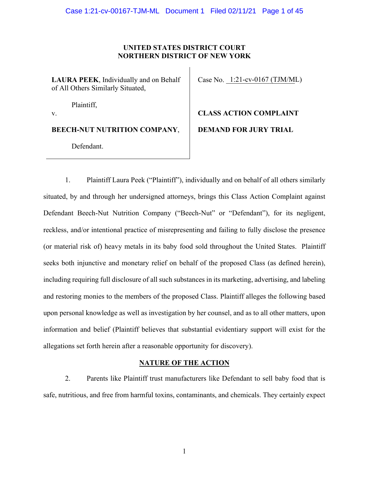## **UNITED STATES DISTRICT COURT NORTHERN DISTRICT OF NEW YORK**

**LAURA PEEK**, Individually and on Behalf of All Others Similarly Situated,

Case No. 1:21-cv-0167 (TJM/ML)

Plaintiff,

v.

**BEECH-NUT NUTRITION COMPANY**,

Defendant.

**CLASS ACTION COMPLAINT DEMAND FOR JURY TRIAL**

1. Plaintiff Laura Peek ("Plaintiff"), individually and on behalf of all others similarly situated, by and through her undersigned attorneys, brings this Class Action Complaint against Defendant Beech-Nut Nutrition Company ("Beech-Nut" or "Defendant"), for its negligent, reckless, and/or intentional practice of misrepresenting and failing to fully disclose the presence (or material risk of) heavy metals in its baby food sold throughout the United States. Plaintiff seeks both injunctive and monetary relief on behalf of the proposed Class (as defined herein), including requiring full disclosure of all such substances in its marketing, advertising, and labeling and restoring monies to the members of the proposed Class. Plaintiff alleges the following based upon personal knowledge as well as investigation by her counsel, and as to all other matters, upon information and belief (Plaintiff believes that substantial evidentiary support will exist for the allegations set forth herein after a reasonable opportunity for discovery).

## **NATURE OF THE ACTION**

2. Parents like Plaintiff trust manufacturers like Defendant to sell baby food that is safe, nutritious, and free from harmful toxins, contaminants, and chemicals. They certainly expect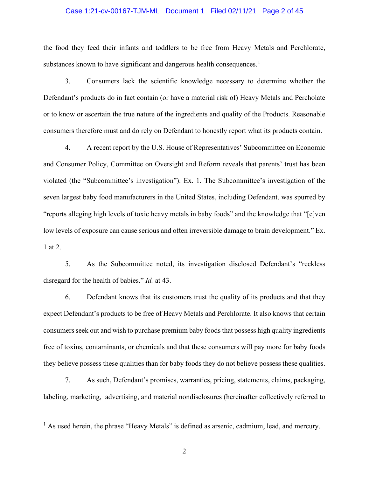#### Case 1:21-cv-00167-TJM-ML Document 1 Filed 02/11/21 Page 2 of 45

the food they feed their infants and toddlers to be free from Heavy Metals and Perchlorate, substances known to have significant and dangerous health consequences.<sup>1</sup>

3. Consumers lack the scientific knowledge necessary to determine whether the Defendant's products do in fact contain (or have a material risk of) Heavy Metals and Percholate or to know or ascertain the true nature of the ingredients and quality of the Products. Reasonable consumers therefore must and do rely on Defendant to honestly report what its products contain.

4. A recent report by the U.S. House of Representatives' Subcommittee on Economic and Consumer Policy, Committee on Oversight and Reform reveals that parents' trust has been violated (the "Subcommittee's investigation"). Ex. 1. The Subcommittee's investigation of the seven largest baby food manufacturers in the United States, including Defendant, was spurred by "reports alleging high levels of toxic heavy metals in baby foods" and the knowledge that "[e]ven low levels of exposure can cause serious and often irreversible damage to brain development." Ex. 1 at 2.

5. As the Subcommittee noted, its investigation disclosed Defendant's "reckless disregard for the health of babies." *Id.* at 43.

6. Defendant knows that its customers trust the quality of its products and that they expect Defendant's products to be free of Heavy Metals and Perchlorate. It also knows that certain consumers seek out and wish to purchase premium baby foods that possess high quality ingredients free of toxins, contaminants, or chemicals and that these consumers will pay more for baby foods they believe possess these qualities than for baby foods they do not believe possess these qualities.

7. As such, Defendant's promises, warranties, pricing, statements, claims, packaging, labeling, marketing, advertising, and material nondisclosures (hereinafter collectively referred to

<sup>&</sup>lt;sup>1</sup> As used herein, the phrase "Heavy Metals" is defined as arsenic, cadmium, lead, and mercury.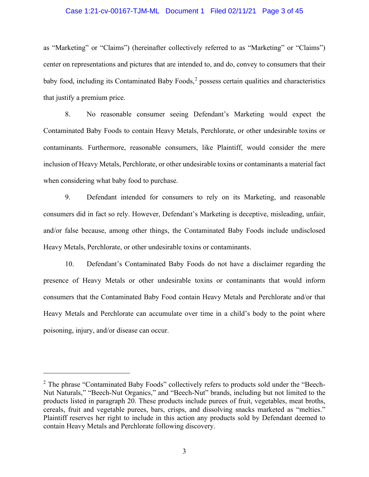#### Case 1:21-cv-00167-TJM-ML Document 1 Filed 02/11/21 Page 3 of 45

as "Marketing" or "Claims") (hereinafter collectively referred to as "Marketing" or "Claims") center on representations and pictures that are intended to, and do, convey to consumers that their baby food, including its Contaminated Baby Foods, $<sup>2</sup>$  possess certain qualities and characteristics</sup> that justify a premium price.

8. No reasonable consumer seeing Defendant's Marketing would expect the Contaminated Baby Foods to contain Heavy Metals, Perchlorate, or other undesirable toxins or contaminants. Furthermore, reasonable consumers, like Plaintiff, would consider the mere inclusion of Heavy Metals, Perchlorate, or other undesirable toxins or contaminants a material fact when considering what baby food to purchase.

9. Defendant intended for consumers to rely on its Marketing, and reasonable consumers did in fact so rely. However, Defendant's Marketing is deceptive, misleading, unfair, and/or false because, among other things, the Contaminated Baby Foods include undisclosed Heavy Metals, Perchlorate, or other undesirable toxins or contaminants.

10. Defendant's Contaminated Baby Foods do not have a disclaimer regarding the presence of Heavy Metals or other undesirable toxins or contaminants that would inform consumers that the Contaminated Baby Food contain Heavy Metals and Perchlorate and/or that Heavy Metals and Perchlorate can accumulate over time in a child's body to the point where poisoning, injury, and/or disease can occur.

 $2$  The phrase "Contaminated Baby Foods" collectively refers to products sold under the "Beech-Nut Naturals," "Beech-Nut Organics," and "Beech-Nut" brands, including but not limited to the products listed in paragraph 20. These products include purees of fruit, vegetables, meat broths, cereals, fruit and vegetable purees, bars, crisps, and dissolving snacks marketed as "melties." Plaintiff reserves her right to include in this action any products sold by Defendant deemed to contain Heavy Metals and Perchlorate following discovery.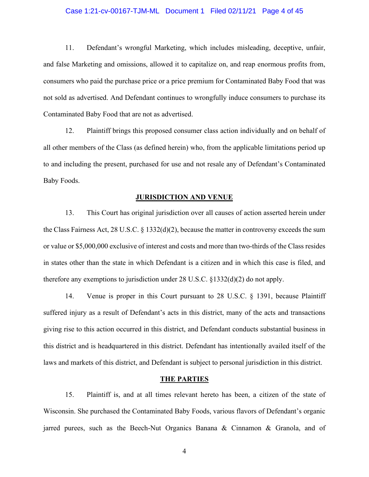#### Case 1:21-cv-00167-TJM-ML Document 1 Filed 02/11/21 Page 4 of 45

11. Defendant's wrongful Marketing, which includes misleading, deceptive, unfair, and false Marketing and omissions, allowed it to capitalize on, and reap enormous profits from, consumers who paid the purchase price or a price premium for Contaminated Baby Food that was not sold as advertised. And Defendant continues to wrongfully induce consumers to purchase its Contaminated Baby Food that are not as advertised.

12. Plaintiff brings this proposed consumer class action individually and on behalf of all other members of the Class (as defined herein) who, from the applicable limitations period up to and including the present, purchased for use and not resale any of Defendant's Contaminated Baby Foods.

#### **JURISDICTION AND VENUE**

13. This Court has original jurisdiction over all causes of action asserted herein under the Class Fairness Act, 28 U.S.C. § 1332(d)(2), because the matter in controversy exceeds the sum or value or \$5,000,000 exclusive of interest and costs and more than two-thirds of the Class resides in states other than the state in which Defendant is a citizen and in which this case is filed, and therefore any exemptions to jurisdiction under 28 U.S.C. §1332(d)(2) do not apply.

14. Venue is proper in this Court pursuant to 28 U.S.C. § 1391, because Plaintiff suffered injury as a result of Defendant's acts in this district, many of the acts and transactions giving rise to this action occurred in this district, and Defendant conducts substantial business in this district and is headquartered in this district. Defendant has intentionally availed itself of the laws and markets of this district, and Defendant is subject to personal jurisdiction in this district.

### **THE PARTIES**

15. Plaintiff is, and at all times relevant hereto has been, a citizen of the state of Wisconsin. She purchased the Contaminated Baby Foods, various flavors of Defendant's organic jarred purees, such as the Beech-Nut Organics Banana & Cinnamon & Granola, and of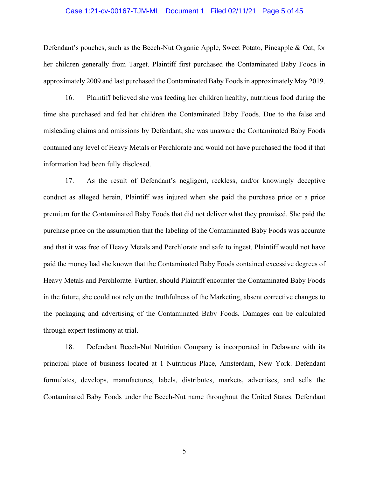#### Case 1:21-cv-00167-TJM-ML Document 1 Filed 02/11/21 Page 5 of 45

Defendant's pouches, such as the Beech-Nut Organic Apple, Sweet Potato, Pineapple & Oat, for her children generally from Target. Plaintiff first purchased the Contaminated Baby Foods in approximately 2009 and last purchased the Contaminated Baby Foodsin approximately May 2019.

16. Plaintiff believed she was feeding her children healthy, nutritious food during the time she purchased and fed her children the Contaminated Baby Foods. Due to the false and misleading claims and omissions by Defendant, she was unaware the Contaminated Baby Foods contained any level of Heavy Metals or Perchlorate and would not have purchased the food if that information had been fully disclosed.

17. As the result of Defendant's negligent, reckless, and/or knowingly deceptive conduct as alleged herein, Plaintiff was injured when she paid the purchase price or a price premium for the Contaminated Baby Foods that did not deliver what they promised. She paid the purchase price on the assumption that the labeling of the Contaminated Baby Foods was accurate and that it was free of Heavy Metals and Perchlorate and safe to ingest. Plaintiff would not have paid the money had she known that the Contaminated Baby Foods contained excessive degrees of Heavy Metals and Perchlorate. Further, should Plaintiff encounter the Contaminated Baby Foods in the future, she could not rely on the truthfulness of the Marketing, absent corrective changes to the packaging and advertising of the Contaminated Baby Foods. Damages can be calculated through expert testimony at trial.

18. Defendant Beech-Nut Nutrition Company is incorporated in Delaware with its principal place of business located at 1 Nutritious Place, Amsterdam, New York. Defendant formulates, develops, manufactures, labels, distributes, markets, advertises, and sells the Contaminated Baby Foods under the Beech-Nut name throughout the United States. Defendant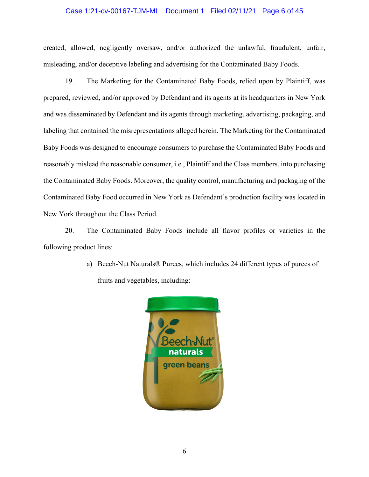### Case 1:21-cv-00167-TJM-ML Document 1 Filed 02/11/21 Page 6 of 45

created, allowed, negligently oversaw, and/or authorized the unlawful, fraudulent, unfair, misleading, and/or deceptive labeling and advertising for the Contaminated Baby Foods.

19. The Marketing for the Contaminated Baby Foods, relied upon by Plaintiff, was prepared, reviewed, and/or approved by Defendant and its agents at its headquarters in New York and was disseminated by Defendant and its agents through marketing, advertising, packaging, and labeling that contained the misrepresentations alleged herein. The Marketing for the Contaminated Baby Foods was designed to encourage consumers to purchase the Contaminated Baby Foods and reasonably mislead the reasonable consumer, i.e., Plaintiff and the Class members, into purchasing the Contaminated Baby Foods. Moreover, the quality control, manufacturing and packaging of the Contaminated Baby Food occurred in New York as Defendant's production facility was located in New York throughout the Class Period.

20. The Contaminated Baby Foods include all flavor profiles or varieties in the following product lines:

> a) Beech-Nut Naturals® Purees, which includes 24 different types of purees of fruits and vegetables, including:

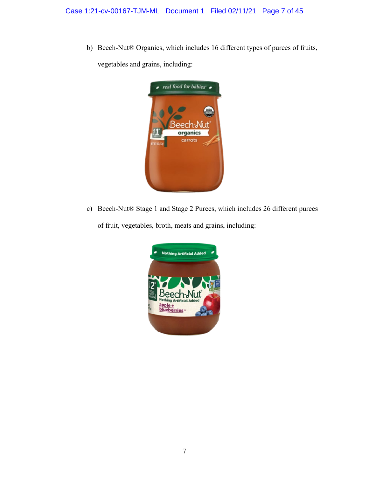b) Beech-Nut® Organics, which includes 16 different types of purees of fruits, vegetables and grains, including:



c) Beech-Nut® Stage 1 and Stage 2 Purees, which includes 26 different purees of fruit, vegetables, broth, meats and grains, including:

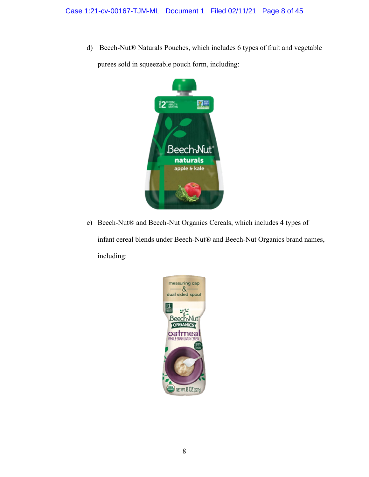d) Beech-Nut® Naturals Pouches, which includes 6 types of fruit and vegetable purees sold in squeezable pouch form, including:



e) Beech-Nut® and Beech-Nut Organics Cereals, which includes 4 types of infant cereal blends under Beech-Nut® and Beech-Nut Organics brand names, including:

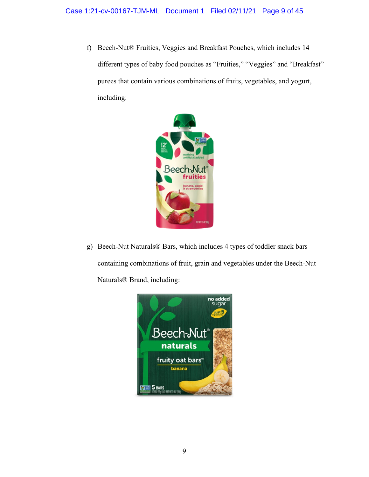f) Beech-Nut® Fruities, Veggies and Breakfast Pouches, which includes 14 different types of baby food pouches as "Fruities," "Veggies" and "Breakfast" purees that contain various combinations of fruits, vegetables, and yogurt, including:



g) Beech-Nut Naturals® Bars, which includes 4 types of toddler snack bars containing combinations of fruit, grain and vegetables under the Beech-Nut Naturals® Brand, including:

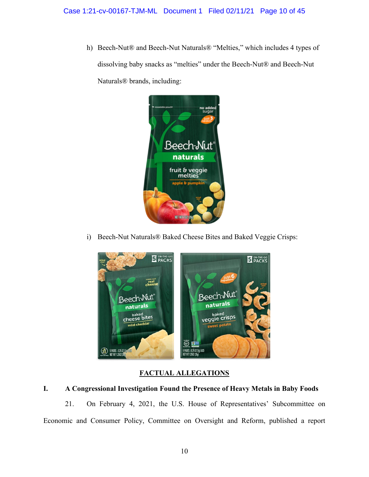h) Beech-Nut® and Beech-Nut Naturals® "Melties," which includes 4 types of dissolving baby snacks as "melties" under the Beech-Nut® and Beech-Nut Naturals® brands, including:



i) Beech-Nut Naturals® Baked Cheese Bites and Baked Veggie Crisps:



# **FACTUAL ALLEGATIONS**

# **I. A Congressional Investigation Found the Presence of Heavy Metals in Baby Foods**

21. On February 4, 2021, the U.S. House of Representatives' Subcommittee on Economic and Consumer Policy, Committee on Oversight and Reform, published a report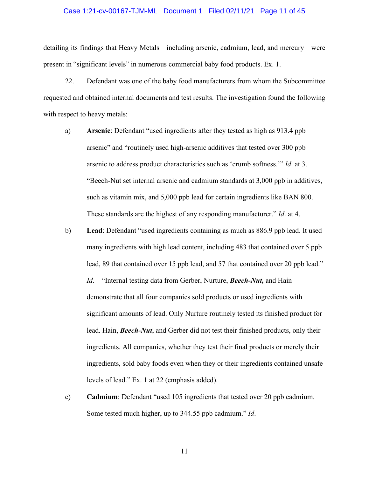#### Case 1:21-cv-00167-TJM-ML Document 1 Filed 02/11/21 Page 11 of 45

detailing its findings that Heavy Metals—including arsenic, cadmium, lead, and mercury—were present in "significant levels" in numerous commercial baby food products. Ex. 1.

22. Defendant was one of the baby food manufacturers from whom the Subcommittee requested and obtained internal documents and test results. The investigation found the following with respect to heavy metals:

- a) **Arsenic**: Defendant "used ingredients after they tested as high as 913.4 ppb arsenic" and "routinely used high-arsenic additives that tested over 300 ppb arsenic to address product characteristics such as 'crumb softness.'" *Id*. at 3. "Beech-Nut set internal arsenic and cadmium standards at 3,000 ppb in additives, such as vitamin mix, and 5,000 ppb lead for certain ingredients like BAN 800. These standards are the highest of any responding manufacturer." *Id*. at 4.
- b) **Lead**: Defendant "used ingredients containing as much as 886.9 ppb lead. It used many ingredients with high lead content, including 483 that contained over 5 ppb lead, 89 that contained over 15 ppb lead, and 57 that contained over 20 ppb lead." *Id*. "Internal testing data from Gerber, Nurture, *Beech-Nut,* and Hain demonstrate that all four companies sold products or used ingredients with significant amounts of lead. Only Nurture routinely tested its finished product for lead. Hain, *Beech-Nut*, and Gerber did not test their finished products, only their ingredients. All companies, whether they test their final products or merely their ingredients, sold baby foods even when they or their ingredients contained unsafe levels of lead." Ex. 1 at 22 (emphasis added).
- c) **Cadmium**: Defendant "used 105 ingredients that tested over 20 ppb cadmium. Some tested much higher, up to 344.55 ppb cadmium." *Id*.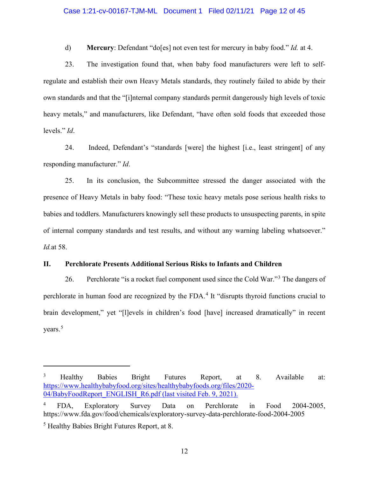#### Case 1:21-cv-00167-TJM-ML Document 1 Filed 02/11/21 Page 12 of 45

d) **Mercury**: Defendant "do[es] not even test for mercury in baby food." *Id.* at 4.

23. The investigation found that, when baby food manufacturers were left to selfregulate and establish their own Heavy Metals standards, they routinely failed to abide by their own standards and that the "[i]nternal company standards permit dangerously high levels of toxic heavy metals," and manufacturers, like Defendant, "have often sold foods that exceeded those levels." *Id*.

24. Indeed, Defendant's "standards [were] the highest [i.e., least stringent] of any responding manufacturer." *Id*.

25. In its conclusion, the Subcommittee stressed the danger associated with the presence of Heavy Metals in baby food: "These toxic heavy metals pose serious health risks to babies and toddlers. Manufacturers knowingly sell these products to unsuspecting parents, in spite of internal company standards and test results, and without any warning labeling whatsoever." *Id.*at 58.

## **II. Perchlorate Presents Additional Serious Risks to Infants and Children**

26. Perchlorate "is a rocket fuel component used since the Cold War."<sup>3</sup> The dangers of perchlorate in human food are recognized by the FDA.<sup>4</sup> It "disrupts thyroid functions crucial to brain development," yet "[l]evels in children's food [have] increased dramatically" in recent years.<sup>5</sup>

<sup>&</sup>lt;sup>3</sup> Healthy Babies Bright Futures Report, at 8. Available at: https://www.healthybabyfood.org/sites/healthybabyfoods.org/files/2020- 04/BabyFoodReport\_ENGLISH\_R6.pdf (last visited Feb. 9, 2021).

<sup>4</sup> FDA, Exploratory Survey Data on Perchlorate in Food 2004-2005, https://www.fda.gov/food/chemicals/exploratory-survey-data-perchlorate-food-2004-2005 <sup>5</sup> Healthy Babies Bright Futures Report, at 8.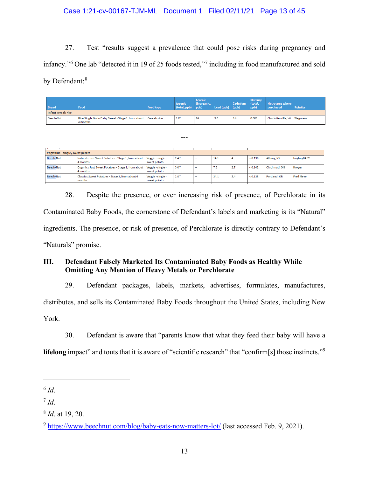## Case 1:21-cv-00167-TJM-ML Document 1 Filed 02/11/21 Page 13 of 45

27. Test "results suggest a prevalence that could pose risks during pregnancy and infancy."<sup>6</sup> One lab "detected it in 19 of 25 foods tested,"<sup>7</sup> including in food manufactured and sold by Defendant:<sup>8</sup>

| <b>Brand</b>        | Food                                                                             | <b>Food type</b> | <b>Arsenic</b><br>(total, ppb) ppb) | Arsenic<br>(inorganic, | Lead (ppb) (ppb) | Cadmium | <b>Mercury</b><br>total.<br>ppb) | Metro area where<br>purchased | Retailer |
|---------------------|----------------------------------------------------------------------------------|------------------|-------------------------------------|------------------------|------------------|---------|----------------------------------|-------------------------------|----------|
| Infant cereal: rice |                                                                                  |                  |                                     |                        |                  |         |                                  |                               |          |
| Beech-Nut           | Rice Single Grain Baby Cereal - Stage 1, from about<br>Cereal - rice<br>4 months |                  | 117                                 | 86                     | 3.5              | 5.4     | 0.582                            | Charlottesville, VA   Wegmans |          |
|                     |                                                                                  |                  |                                     |                        |                  |         |                                  |                               |          |

---

| <b>September 2005</b>            |                                                                | -------                           |        |                          |      |     |         |                |                   |  |
|----------------------------------|----------------------------------------------------------------|-----------------------------------|--------|--------------------------|------|-----|---------|----------------|-------------------|--|
| Vegetable - single, sweet potato |                                                                |                                   |        |                          |      |     |         |                |                   |  |
| <b>Beech-Nut</b>                 | Naturals Just Sweet Potatoes - Stage 1, from about<br>4 months | Veggie - single -<br>sweet potato | $2.4*$ | $\overline{\phantom{a}}$ | 14.1 | 4   | < 0.136 | Albany, NY     | buybuyBABY        |  |
| Beech-Nut                        | Organics Just Sweet Potatoes - Stage 1, from about<br>4 months | Veggie - single -<br>sweet potato | $3.8*$ | $\sim$                   | 7.3  | 2.7 | < 0.142 | Cincinnati, OH | <b>Kroger</b>     |  |
| <b>Beech-Nut</b>                 | Classics Sweet Potatoes - Stage 2, from about 6<br>months      | Veggie - single -<br>sweet potato | $2.8*$ | $\overline{\phantom{a}}$ | 24.1 | 3.4 | < 0.138 | Portland, OR   | <b>Fred Mever</b> |  |

28. Despite the presence, or ever increasing risk of presence, of Perchlorate in its Contaminated Baby Foods, the cornerstone of Defendant's labels and marketing is its "Natural" ingredients. The presence, or risk of presence, of Perchlorate is directly contrary to Defendant's "Naturals" promise.

# **III. Defendant Falsely Marketed Its Contaminated Baby Foods as Healthy While Omitting Any Mention of Heavy Metals or Perchlorate**

29. Defendant packages, labels, markets, advertises, formulates, manufactures, distributes, and sells its Contaminated Baby Foods throughout the United States, including New York.

30. Defendant is aware that "parents know that what they feed their baby will have a **lifelong** impact" and touts that it is aware of "scientific research" that "confirm[s] those instincts."<sup>9</sup>

<sup>6</sup> *Id*.

 $^7$  *Id*.

<sup>8</sup> *Id*. at 19, 20.

<sup>9</sup> https://www.beechnut.com/blog/baby-eats-now-matters-lot/ (last accessed Feb. 9, 2021).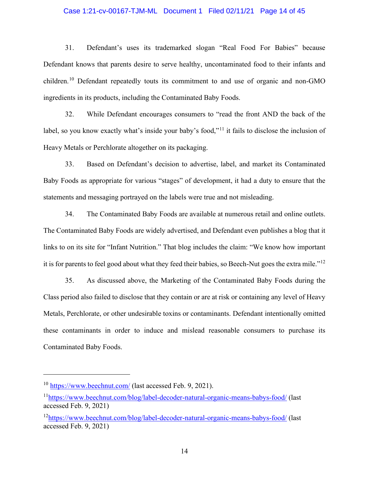### Case 1:21-cv-00167-TJM-ML Document 1 Filed 02/11/21 Page 14 of 45

31. Defendant's uses its trademarked slogan "Real Food For Babies" because Defendant knows that parents desire to serve healthy, uncontaminated food to their infants and children.<sup>10</sup> Defendant repeatedly touts its commitment to and use of organic and non-GMO ingredients in its products, including the Contaminated Baby Foods.

32. While Defendant encourages consumers to "read the front AND the back of the label, so you know exactly what's inside your baby's food,"<sup>11</sup> it fails to disclose the inclusion of Heavy Metals or Perchlorate altogether on its packaging.

33. Based on Defendant's decision to advertise, label, and market its Contaminated Baby Foods as appropriate for various "stages" of development, it had a duty to ensure that the statements and messaging portrayed on the labels were true and not misleading.

34. The Contaminated Baby Foods are available at numerous retail and online outlets. The Contaminated Baby Foods are widely advertised, and Defendant even publishes a blog that it links to on its site for "Infant Nutrition." That blog includes the claim: "We know how important it is for parents to feel good about what they feed their babies, so Beech-Nut goes the extra mile."<sup>12</sup>

35. As discussed above, the Marketing of the Contaminated Baby Foods during the Class period also failed to disclose that they contain or are at risk or containing any level of Heavy Metals, Perchlorate, or other undesirable toxins or contaminants. Defendant intentionally omitted these contaminants in order to induce and mislead reasonable consumers to purchase its Contaminated Baby Foods.

<sup>&</sup>lt;sup>10</sup> https://www.beechnut.com/ (last accessed Feb. 9, 2021).

<sup>&</sup>lt;sup>11</sup>https://www.beechnut.com/blog/label-decoder-natural-organic-means-babys-food/ (last accessed Feb. 9, 2021)

<sup>&</sup>lt;sup>12</sup>https://www.beechnut.com/blog/label-decoder-natural-organic-means-babys-food/ (last accessed Feb. 9, 2021)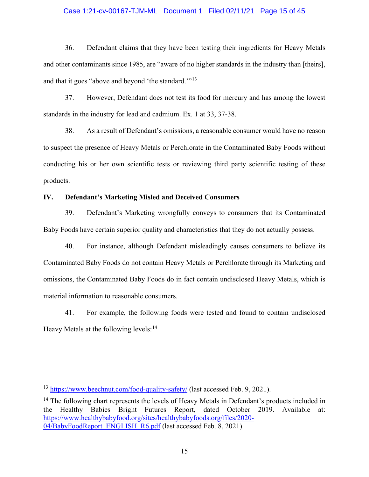### Case 1:21-cv-00167-TJM-ML Document 1 Filed 02/11/21 Page 15 of 45

36. Defendant claims that they have been testing their ingredients for Heavy Metals and other contaminants since 1985, are "aware of no higher standards in the industry than [theirs], and that it goes "above and beyond 'the standard.'"<sup>13</sup>

37. However, Defendant does not test its food for mercury and has among the lowest standards in the industry for lead and cadmium. Ex. 1 at 33, 37-38.

38. As a result of Defendant's omissions, a reasonable consumer would have no reason to suspect the presence of Heavy Metals or Perchlorate in the Contaminated Baby Foods without conducting his or her own scientific tests or reviewing third party scientific testing of these products.

### **IV. Defendant's Marketing Misled and Deceived Consumers**

39. Defendant's Marketing wrongfully conveys to consumers that its Contaminated Baby Foods have certain superior quality and characteristics that they do not actually possess.

40. For instance, although Defendant misleadingly causes consumers to believe its Contaminated Baby Foods do not contain Heavy Metals or Perchlorate through its Marketing and omissions, the Contaminated Baby Foods do in fact contain undisclosed Heavy Metals, which is material information to reasonable consumers.

41. For example, the following foods were tested and found to contain undisclosed Heavy Metals at the following levels:  $14$ 

<sup>13</sup> https://www.beechnut.com/food-quality-safety/ (last accessed Feb. 9, 2021).

<sup>&</sup>lt;sup>14</sup> The following chart represents the levels of Heavy Metals in Defendant's products included in the Healthy Babies Bright Futures Report, dated October 2019. Available at: https://www.healthybabyfood.org/sites/healthybabyfoods.org/files/2020- 04/BabyFoodReport ENGLISH R6.pdf (last accessed Feb. 8, 2021).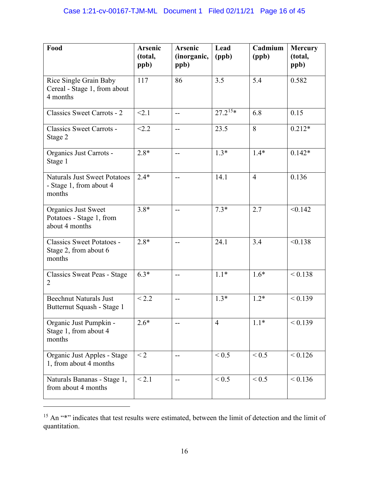| Food                                                                     | <b>Arsenic</b><br>(total,<br>ppb) | <b>Arsenic</b><br>(inorganic,<br>ppb) | Lead<br>(ppb)  | Cadmium<br>(ppb) | <b>Mercury</b><br>(total,<br>ppb) |
|--------------------------------------------------------------------------|-----------------------------------|---------------------------------------|----------------|------------------|-----------------------------------|
| Rice Single Grain Baby<br>Cereal - Stage 1, from about<br>4 months       | 117                               | 86                                    | 3.5            | 5.4              | 0.582                             |
| <b>Classics Sweet Carrots - 2</b>                                        | < 2.1                             | --                                    | $27.2^{15*}$   | 6.8              | 0.15                              |
| Classics Sweet Carrots -<br>Stage 2                                      | < 2.2                             | $-$                                   | 23.5           | 8                | $0.212*$                          |
| Organics Just Carrots -<br>Stage 1                                       | $2.8*$                            | --                                    | $1.3*$         | $1.4*$           | $0.142*$                          |
| <b>Naturals Just Sweet Potatoes</b><br>- Stage 1, from about 4<br>months | $2.4*$                            | --                                    | 14.1           | $\overline{4}$   | 0.136                             |
| <b>Organics Just Sweet</b><br>Potatoes - Stage 1, from<br>about 4 months | $3.8*$                            | --                                    | $7.3*$         | 2.7              | < 0.142                           |
| <b>Classics Sweet Potatoes -</b><br>Stage 2, from about 6<br>months      | $2.8*$                            | $\overline{\phantom{m}}$              | 24.1           | 3.4              | < 0.138                           |
| Classics Sweat Peas - Stage<br>$\overline{2}$                            | $6.3*$                            | --                                    | $1.1*$         | $1.6*$           | < 0.138                           |
| <b>Beechnut Naturals Just</b><br>Butternut Squash - Stage 1              | < 2.2                             | --                                    | $1.3*$         | $1.2*$           | < 0.139                           |
| Organic Just Pumpkin -<br>Stage 1, from about 4<br>months                | $2.6*$                            |                                       | $\overline{4}$ | $1.1*$           | < 0.139                           |
| Organic Just Apples - Stage<br>1, from about 4 months                    | $\leq$ 2                          | --                                    | < 0.5          | < 0.5            | < 0.126                           |
| Naturals Bananas - Stage 1,<br>from about 4 months                       | < 2.1                             | $\qquad \qquad -$                     | < 0.5          | < 0.5            | < 0.136                           |

<sup>&</sup>lt;sup>15</sup> An "\*" indicates that test results were estimated, between the limit of detection and the limit of quantitation.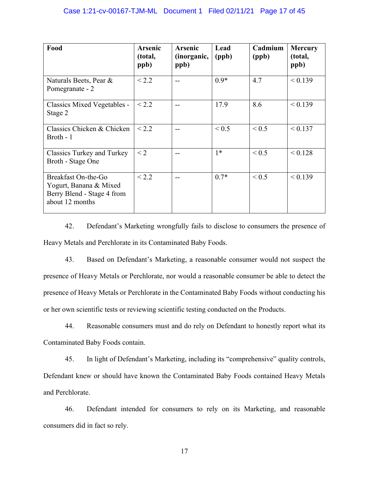| Food                                                                                           | <b>Arsenic</b><br>(total,<br>ppb) | <b>Arsenic</b><br>(inorganic,<br>ppb) | Lead<br>(ppb) | Cadmium<br>(ppb) | <b>Mercury</b><br>(total,<br>ppb) |
|------------------------------------------------------------------------------------------------|-----------------------------------|---------------------------------------|---------------|------------------|-----------------------------------|
| Naturals Beets, Pear &<br>Pomegranate - 2                                                      | < 2.2                             |                                       | $0.9*$        | 4.7              | < 0.139                           |
| Classics Mixed Vegetables -<br>Stage 2                                                         | < 2.2                             |                                       | 17.9          | 8.6              | < 0.139                           |
| Classics Chicken & Chicken<br>Broth - 1                                                        | < 2.2                             |                                       | ${}_{0.5}$    | ${}_{0.5}$       | < 0.137                           |
| Classics Turkey and Turkey<br>Broth - Stage One                                                | $\leq$ 2                          |                                       | $1*$          | ${}_{\leq 0.5}$  | < 0.128                           |
| Breakfast On-the-Go<br>Yogurt, Banana & Mixed<br>Berry Blend - Stage 4 from<br>about 12 months | < 2.2                             | --                                    | $0.7*$        | ${}_{0.5}$       | < 0.139                           |

42. Defendant's Marketing wrongfully fails to disclose to consumers the presence of Heavy Metals and Perchlorate in its Contaminated Baby Foods.

43. Based on Defendant's Marketing, a reasonable consumer would not suspect the presence of Heavy Metals or Perchlorate, nor would a reasonable consumer be able to detect the presence of Heavy Metals or Perchlorate in the Contaminated Baby Foods without conducting his or her own scientific tests or reviewing scientific testing conducted on the Products.

44. Reasonable consumers must and do rely on Defendant to honestly report what its Contaminated Baby Foods contain.

45. In light of Defendant's Marketing, including its "comprehensive" quality controls, Defendant knew or should have known the Contaminated Baby Foods contained Heavy Metals and Perchlorate.

46. Defendant intended for consumers to rely on its Marketing, and reasonable consumers did in fact so rely.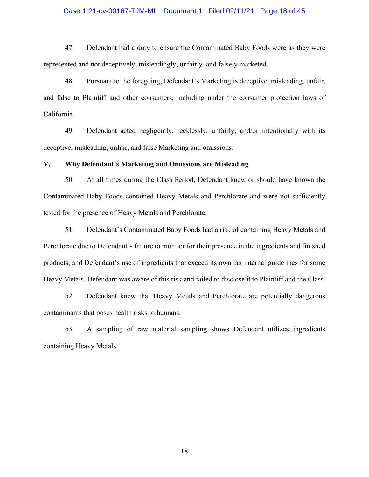#### Case 1:21-cv-00167-TJM-ML Document 1 Filed 02/11/21 Page 18 of 45

47. Defendant had a duty to ensure the Contaminated Baby Foods were as they were represented and not deceptively, misleadingly, unfairly, and falsely marketed.

48. Pursuant to the foregoing, Defendant's Marketing is deceptive, misleading, unfair, and false to Plaintiff and other consumers, including under the consumer protection laws of California.

49. Defendant acted negligently, recklessly, unfairly, and/or intentionally with its deceptive, misleading, unfair, and false Marketing and omissions.

### **V. Why Defendant's Marketing and Omissions are Misleading**

50. At all times during the Class Period, Defendant knew or should have known the Contaminated Baby Foods contained Heavy Metals and Perchlorate and were not sufficiently tested for the presence of Heavy Metals and Perchlorate.

51. Defendant's Contaminated Baby Foods had a risk of containing Heavy Metals and Perchlorate due to Defendant's failure to monitor for their presence in the ingredients and finished products, and Defendant's use of ingredients that exceed its own lax internal guidelines for some Heavy Metals. Defendant was aware of this risk and failed to disclose it to Plaintiff and the Class.

52. Defendant knew that Heavy Metals and Perchlorate are potentially dangerous contaminants that poses health risks to humans.

53. A sampling of raw material sampling shows Defendant utilizes ingredients containing Heavy Metals: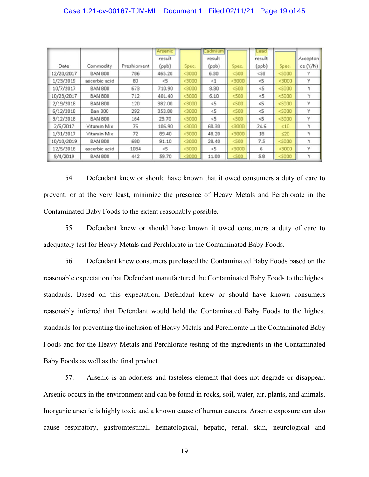|            |                |             | Arsenic |        | admium |        | Lead   |          |          |
|------------|----------------|-------------|---------|--------|--------|--------|--------|----------|----------|
|            |                |             |         |        |        |        |        |          |          |
|            |                |             | result  |        | result |        | result |          | Acceptan |
| Date       | Commodity      | Preshipment | (ppb)   | Spec.  | (ppb)  | Spec.  | (ppb)  | Spec.    | ce (Y/N) |
| 12/20/2017 | <b>BAN 800</b> | 786         | 465.20  | $3000$ | 6.30   | < 500  | < 58   | < 5000   |          |
| 1/23/2019  | ascorbic acid  | 80          | $\leq$  | $3000$ | < 1    | $3000$ | < 5    | < 3000   | Y        |
| 10/7/2017  | <b>BAN 800</b> | 673         | 710.90  | <3000  | 8.30   | < 500  | 5      | < 5000   | Y        |
| 10/23/2017 | <b>BAN 800</b> | 712         | 401.40  | $3000$ | 6.10   | < 500  | 5      | < 5000   | Y        |
| 2/19/2018  | <b>BAN 800</b> | 120         | 382.00  | $3000$ | < 5    | < 500  | 5      | < 5000   | Y        |
| 6/12/2018  | <b>Ban 800</b> | 292         | 353.80  | $3000$ | 5      | < 500  | 5      | < 5000   | v        |
| 3/12/2018  | <b>BAN 800</b> | 164         | 29.70   | <3000  | $\leq$ | <500   | 5      | < 5000   | ٧        |
| 2/6/2017   | Vitamin Mix    | 76          | 106.90  | $3000$ | 60.30  | $3000$ | 24.6   | <10      | Y        |
| 1/31/2017  | Vitamin Mix    | 72          | 89.40   | $3000$ | 48.20  | $3000$ | 18     | ≤20      | Y        |
| 10/10/2019 | <b>BAN 800</b> | 680         | 91.10   | $3000$ | 28.40  | < 500  | 7.5    | < 5000   | Y        |
| 12/5/2018  | ascorbic acid  | 1084        | 5       | $3000$ | 5      | $3000$ | б      | < 3000   | γ        |
| 9/4/2019   | <b>BAN 800</b> | 442         | 59.70   | $3000$ | 11.00  | < 500  | 5.8    | $<$ 5000 | Y        |

54. Defendant knew or should have known that it owed consumers a duty of care to prevent, or at the very least, minimize the presence of Heavy Metals and Perchlorate in the Contaminated Baby Foods to the extent reasonably possible.

55. Defendant knew or should have known it owed consumers a duty of care to adequately test for Heavy Metals and Perchlorate in the Contaminated Baby Foods.

56. Defendant knew consumers purchased the Contaminated Baby Foods based on the reasonable expectation that Defendant manufactured the Contaminated Baby Foods to the highest standards. Based on this expectation, Defendant knew or should have known consumers reasonably inferred that Defendant would hold the Contaminated Baby Foods to the highest standards for preventing the inclusion of Heavy Metals and Perchlorate in the Contaminated Baby Foods and for the Heavy Metals and Perchlorate testing of the ingredients in the Contaminated Baby Foods as well as the final product.

57. Arsenic is an odorless and tasteless element that does not degrade or disappear. Arsenic occurs in the environment and can be found in rocks, soil, water, air, plants, and animals. Inorganic arsenic is highly toxic and a known cause of human cancers. Arsenic exposure can also cause respiratory, gastrointestinal, hematological, hepatic, renal, skin, neurological and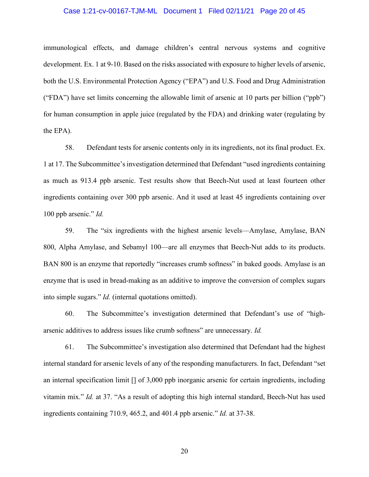#### Case 1:21-cv-00167-TJM-ML Document 1 Filed 02/11/21 Page 20 of 45

immunological effects, and damage children's central nervous systems and cognitive development. Ex. 1 at 9-10. Based on the risks associated with exposure to higher levels of arsenic, both the U.S. Environmental Protection Agency ("EPA") and U.S. Food and Drug Administration ("FDA") have set limits concerning the allowable limit of arsenic at 10 parts per billion ("ppb") for human consumption in apple juice (regulated by the FDA) and drinking water (regulating by the EPA).

58. Defendant tests for arsenic contents only in its ingredients, not its final product. Ex. 1 at 17. The Subcommittee's investigation determined that Defendant "used ingredients containing as much as 913.4 ppb arsenic. Test results show that Beech-Nut used at least fourteen other ingredients containing over 300 ppb arsenic. And it used at least 45 ingredients containing over 100 ppb arsenic." *Id.*

59. The "six ingredients with the highest arsenic levels—Amylase, Amylase, BAN 800, Alpha Amylase, and Sebamyl 100—are all enzymes that Beech-Nut adds to its products. BAN 800 is an enzyme that reportedly "increases crumb softness" in baked goods. Amylase is an enzyme that is used in bread-making as an additive to improve the conversion of complex sugars into simple sugars." *Id.* (internal quotations omitted).

60. The Subcommittee's investigation determined that Defendant's use of "higharsenic additives to address issues like crumb softness" are unnecessary. *Id.*

61. The Subcommittee's investigation also determined that Defendant had the highest internal standard for arsenic levels of any of the responding manufacturers. In fact, Defendant "set an internal specification limit [] of 3,000 ppb inorganic arsenic for certain ingredients, including vitamin mix." *Id.* at 37. "As a result of adopting this high internal standard, Beech-Nut has used ingredients containing 710.9, 465.2, and 401.4 ppb arsenic." *Id.* at 37-38.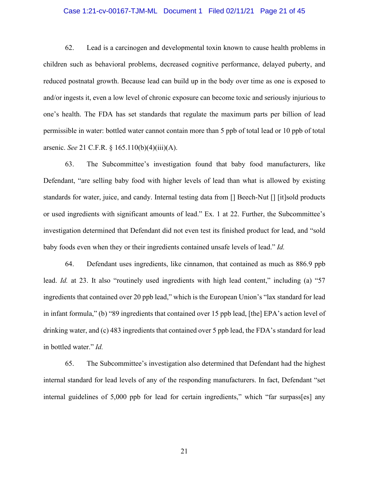#### Case 1:21-cv-00167-TJM-ML Document 1 Filed 02/11/21 Page 21 of 45

62. Lead is a carcinogen and developmental toxin known to cause health problems in children such as behavioral problems, decreased cognitive performance, delayed puberty, and reduced postnatal growth. Because lead can build up in the body over time as one is exposed to and/or ingests it, even a low level of chronic exposure can become toxic and seriously injurious to one's health. The FDA has set standards that regulate the maximum parts per billion of lead permissible in water: bottled water cannot contain more than 5 ppb of total lead or 10 ppb of total arsenic. *See* 21 C.F.R. § 165.110(b)(4)(iii)(A).

63. The Subcommittee's investigation found that baby food manufacturers, like Defendant, "are selling baby food with higher levels of lead than what is allowed by existing standards for water, juice, and candy. Internal testing data from [] Beech-Nut [] [it]sold products or used ingredients with significant amounts of lead." Ex. 1 at 22. Further, the Subcommittee's investigation determined that Defendant did not even test its finished product for lead, and "sold baby foods even when they or their ingredients contained unsafe levels of lead." *Id.*

64. Defendant uses ingredients, like cinnamon, that contained as much as 886.9 ppb lead. *Id.* at 23. It also "routinely used ingredients with high lead content," including (a) "57 ingredients that contained over 20 ppb lead," which is the European Union's "lax standard for lead in infant formula," (b) "89 ingredients that contained over 15 ppb lead, [the] EPA's action level of drinking water, and (c) 483 ingredients that contained over 5 ppb lead, the FDA's standard for lead in bottled water." *Id.*

65. The Subcommittee's investigation also determined that Defendant had the highest internal standard for lead levels of any of the responding manufacturers. In fact, Defendant "set internal guidelines of 5,000 ppb for lead for certain ingredients," which "far surpass[es] any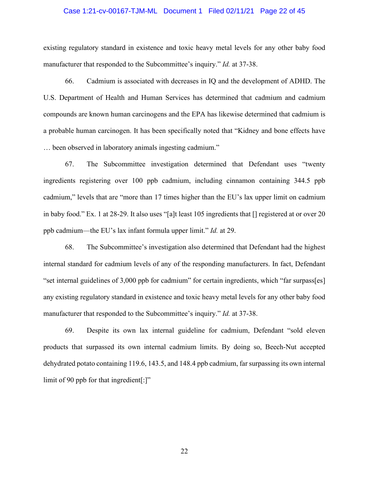#### Case 1:21-cv-00167-TJM-ML Document 1 Filed 02/11/21 Page 22 of 45

existing regulatory standard in existence and toxic heavy metal levels for any other baby food manufacturer that responded to the Subcommittee's inquiry." *Id.* at 37-38.

66. Cadmium is associated with decreases in IQ and the development of ADHD. The U.S. Department of Health and Human Services has determined that cadmium and cadmium compounds are known human carcinogens and the EPA has likewise determined that cadmium is a probable human carcinogen. It has been specifically noted that "Kidney and bone effects have … been observed in laboratory animals ingesting cadmium."

67. The Subcommittee investigation determined that Defendant uses "twenty ingredients registering over 100 ppb cadmium, including cinnamon containing 344.5 ppb cadmium," levels that are "more than 17 times higher than the EU's lax upper limit on cadmium in baby food." Ex. 1 at 28-29. It also uses "[a]t least 105 ingredients that [] registered at or over 20 ppb cadmium—the EU's lax infant formula upper limit." *Id.* at 29.

68. The Subcommittee's investigation also determined that Defendant had the highest internal standard for cadmium levels of any of the responding manufacturers. In fact, Defendant "set internal guidelines of 3,000 ppb for cadmium" for certain ingredients, which "far surpass[es] any existing regulatory standard in existence and toxic heavy metal levels for any other baby food manufacturer that responded to the Subcommittee's inquiry." *Id.* at 37-38.

69. Despite its own lax internal guideline for cadmium, Defendant "sold eleven products that surpassed its own internal cadmium limits. By doing so, Beech-Nut accepted dehydrated potato containing 119.6, 143.5, and 148.4 ppb cadmium, far surpassing its own internal limit of 90 ppb for that ingredient[:]"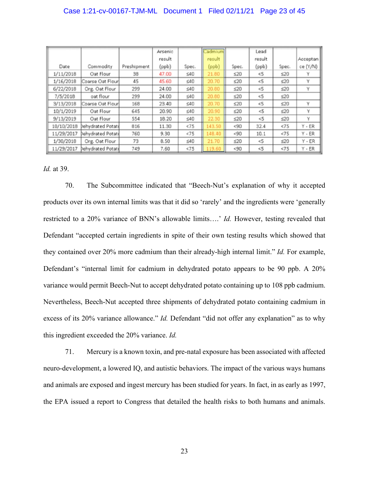### Case 1:21-cv-00167-TJM-ML Document 1 Filed 02/11/21 Page 23 of 45

|            |                  |             | Arsenic<br>result |       | Cadmium<br>result |       | Lead<br>result |       | Acceptan     |
|------------|------------------|-------------|-------------------|-------|-------------------|-------|----------------|-------|--------------|
| Date       | Commodity        | Preshipment | (ppb)             | Spec. | (ppb)             | Spec. | (ppb)          | Spec. | ce (Y/N)     |
| 1/11/2018  | Oat Flour        | 38          | 47.00             | ≤40   | 21.80             | ≤20   | $\leq$ 5       | ≤20   |              |
| 1/16/2018  | Coarse Oat Flour | 45          | 45.60             | ≤40   | 20.70             | ≤20   | $\leq$ 5       | ≤20   | ٧            |
| 6/22/2018  | Org. Oat Flour   | 299         | 24.00             | ≤40   | 20.80             | ≤20   | $\leq 5$       | ≤20   | ٧            |
| 7/5/2018   | oat flour        | 299         | 24.00             | ≤40   | 20.80             | ≤20   | $\leq 5$       | ≤20   |              |
| 3/13/2018  | Coarse Oat Flour | 168         | 23.40             | ≤40   | 20.70             | ≤20   | $\leq$ 5       | ≤20   | $\checkmark$ |
| 10/1/2019  | Oat Flour        | 645         | 20.90             | ≤40   | 20.90             | ≤20   | $\leq$ 5       | ≤20   | v            |
| 9/13/2019  | Oat Flour        | 554         | 18.20             | ≤40   | 22.30             | ≤20   | $\leq$ 5       | ≤20   | v            |
| 10/10/2018 | ehydrated Potati | 816         | 11.30             | <75   | 143.50            | <90   | 32.4           | < 75  | $Y - ER$     |
| 11/29/2017 | ehydrated Potat  | 760         | 9.30              | <75   | 148.40            | < 90  | 10.1           | < 75  | $Y - ER$     |
| 1/30/2018  | Org. Oat Flour   | 73          | 8.50              | ≤40   | 21.70             | ≤20   | < 5            | ≤20   | $Y - ER$     |
| 11/29/2017 | ehydrated Potate | 749         | 7.60              | <75   | 19.60             | < 90  | < 5            | < 75  | $Y - ER$     |

### *Id.* at 39.

70. The Subcommittee indicated that "Beech-Nut's explanation of why it accepted products over its own internal limits was that it did so 'rarely' and the ingredients were 'generally restricted to a 20% variance of BNN's allowable limits….' *Id.* However, testing revealed that Defendant "accepted certain ingredients in spite of their own testing results which showed that they contained over 20% more cadmium than their already-high internal limit." *Id.* For example, Defendant's "internal limit for cadmium in dehydrated potato appears to be 90 ppb. A 20% variance would permit Beech-Nut to accept dehydrated potato containing up to 108 ppb cadmium. Nevertheless, Beech-Nut accepted three shipments of dehydrated potato containing cadmium in excess of its 20% variance allowance." *Id.* Defendant "did not offer any explanation" as to why this ingredient exceeded the 20% variance. *Id.*

71. Mercury is a known toxin, and pre-natal exposure has been associated with affected neuro-development, a lowered IQ, and autistic behaviors. The impact of the various ways humans and animals are exposed and ingest mercury has been studied for years. In fact, in as early as 1997, the EPA issued a report to Congress that detailed the health risks to both humans and animals.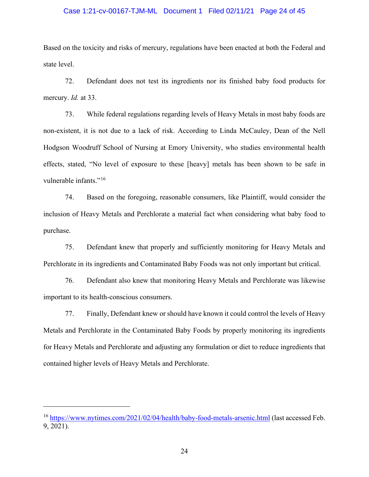#### Case 1:21-cv-00167-TJM-ML Document 1 Filed 02/11/21 Page 24 of 45

Based on the toxicity and risks of mercury, regulations have been enacted at both the Federal and state level.

72. Defendant does not test its ingredients nor its finished baby food products for mercury. *Id.* at 33.

73. While federal regulations regarding levels of Heavy Metals in most baby foods are non-existent, it is not due to a lack of risk. According to Linda McCauley, Dean of the Nell Hodgson Woodruff School of Nursing at Emory University, who studies environmental health effects, stated, "No level of exposure to these [heavy] metals has been shown to be safe in vulnerable infants."<sup>16</sup>

74. Based on the foregoing, reasonable consumers, like Plaintiff, would consider the inclusion of Heavy Metals and Perchlorate a material fact when considering what baby food to purchase.

75. Defendant knew that properly and sufficiently monitoring for Heavy Metals and Perchlorate in its ingredients and Contaminated Baby Foods was not only important but critical.

76. Defendant also knew that monitoring Heavy Metals and Perchlorate was likewise important to its health-conscious consumers.

77. Finally, Defendant knew or should have known it could control the levels of Heavy Metals and Perchlorate in the Contaminated Baby Foods by properly monitoring its ingredients for Heavy Metals and Perchlorate and adjusting any formulation or diet to reduce ingredients that contained higher levels of Heavy Metals and Perchlorate.

<sup>&</sup>lt;sup>16</sup> https://www.nytimes.com/2021/02/04/health/baby-food-metals-arsenic.html (last accessed Feb. 9, 2021).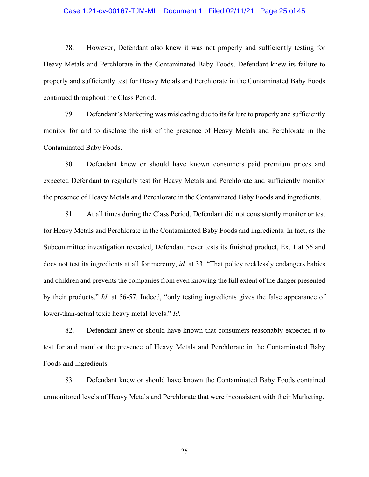#### Case 1:21-cv-00167-TJM-ML Document 1 Filed 02/11/21 Page 25 of 45

78. However, Defendant also knew it was not properly and sufficiently testing for Heavy Metals and Perchlorate in the Contaminated Baby Foods. Defendant knew its failure to properly and sufficiently test for Heavy Metals and Perchlorate in the Contaminated Baby Foods continued throughout the Class Period.

79. Defendant's Marketing was misleading due to itsfailure to properly and sufficiently monitor for and to disclose the risk of the presence of Heavy Metals and Perchlorate in the Contaminated Baby Foods.

80. Defendant knew or should have known consumers paid premium prices and expected Defendant to regularly test for Heavy Metals and Perchlorate and sufficiently monitor the presence of Heavy Metals and Perchlorate in the Contaminated Baby Foods and ingredients.

81. At all times during the Class Period, Defendant did not consistently monitor or test for Heavy Metals and Perchlorate in the Contaminated Baby Foods and ingredients. In fact, as the Subcommittee investigation revealed, Defendant never tests its finished product, Ex. 1 at 56 and does not test its ingredients at all for mercury, *id.* at 33. "That policy recklessly endangers babies and children and prevents the companies from even knowing the full extent of the danger presented by their products." *Id.* at 56-57. Indeed, "only testing ingredients gives the false appearance of lower-than-actual toxic heavy metal levels." *Id.*

82. Defendant knew or should have known that consumers reasonably expected it to test for and monitor the presence of Heavy Metals and Perchlorate in the Contaminated Baby Foods and ingredients.

83. Defendant knew or should have known the Contaminated Baby Foods contained unmonitored levels of Heavy Metals and Perchlorate that were inconsistent with their Marketing.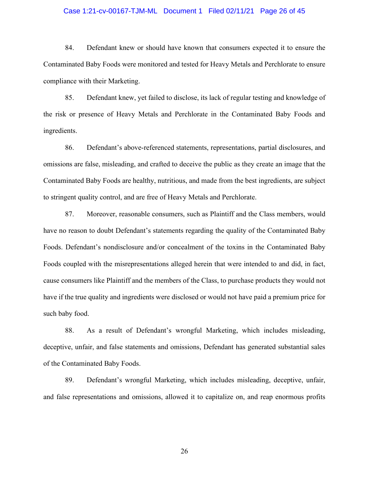#### Case 1:21-cv-00167-TJM-ML Document 1 Filed 02/11/21 Page 26 of 45

84. Defendant knew or should have known that consumers expected it to ensure the Contaminated Baby Foods were monitored and tested for Heavy Metals and Perchlorate to ensure compliance with their Marketing.

85. Defendant knew, yet failed to disclose, its lack of regular testing and knowledge of the risk or presence of Heavy Metals and Perchlorate in the Contaminated Baby Foods and ingredients.

86. Defendant's above-referenced statements, representations, partial disclosures, and omissions are false, misleading, and crafted to deceive the public as they create an image that the Contaminated Baby Foods are healthy, nutritious, and made from the best ingredients, are subject to stringent quality control, and are free of Heavy Metals and Perchlorate.

87. Moreover, reasonable consumers, such as Plaintiff and the Class members, would have no reason to doubt Defendant's statements regarding the quality of the Contaminated Baby Foods. Defendant's nondisclosure and/or concealment of the toxins in the Contaminated Baby Foods coupled with the misrepresentations alleged herein that were intended to and did, in fact, cause consumers like Plaintiff and the members of the Class, to purchase products they would not have if the true quality and ingredients were disclosed or would not have paid a premium price for such baby food.

88. As a result of Defendant's wrongful Marketing, which includes misleading, deceptive, unfair, and false statements and omissions, Defendant has generated substantial sales of the Contaminated Baby Foods.

89. Defendant's wrongful Marketing, which includes misleading, deceptive, unfair, and false representations and omissions, allowed it to capitalize on, and reap enormous profits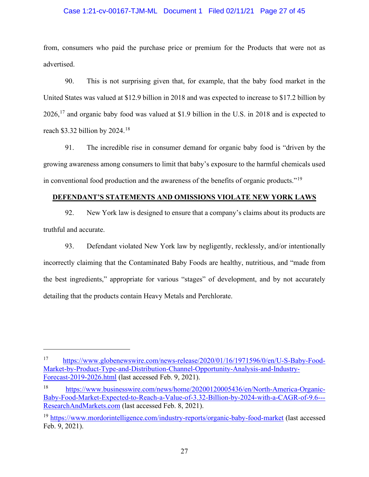### Case 1:21-cv-00167-TJM-ML Document 1 Filed 02/11/21 Page 27 of 45

from, consumers who paid the purchase price or premium for the Products that were not as advertised.

90. This is not surprising given that, for example, that the baby food market in the United States was valued at \$12.9 billion in 2018 and was expected to increase to \$17.2 billion by  $2026$ ,<sup>17</sup> and organic baby food was valued at \$1.9 billion in the U.S. in 2018 and is expected to reach \$3.32 billion by 2024.<sup>18</sup>

91. The incredible rise in consumer demand for organic baby food is "driven by the growing awareness among consumers to limit that baby's exposure to the harmful chemicals used in conventional food production and the awareness of the benefits of organic products."<sup>19</sup>

### **DEFENDANT'S STATEMENTS AND OMISSIONS VIOLATE NEW YORK LAWS**

92. New York law is designed to ensure that a company's claims about its products are truthful and accurate.

93. Defendant violated New York law by negligently, recklessly, and/or intentionally incorrectly claiming that the Contaminated Baby Foods are healthy, nutritious, and "made from the best ingredients," appropriate for various "stages" of development, and by not accurately detailing that the products contain Heavy Metals and Perchlorate.

<sup>17</sup> https://www.globenewswire.com/news-release/2020/01/16/1971596/0/en/U-S-Baby-Food-Market-by-Product-Type-and-Distribution-Channel-Opportunity-Analysis-and-Industry-Forecast-2019-2026.html (last accessed Feb. 9, 2021).

<sup>18</sup> https://www.businesswire.com/news/home/20200120005436/en/North-America-Organic-Baby-Food-Market-Expected-to-Reach-a-Value-of-3.32-Billion-by-2024-with-a-CAGR-of-9.6--- ResearchAndMarkets.com (last accessed Feb. 8, 2021).

<sup>&</sup>lt;sup>19</sup> https://www.mordorintelligence.com/industry-reports/organic-baby-food-market (last accessed Feb. 9, 2021).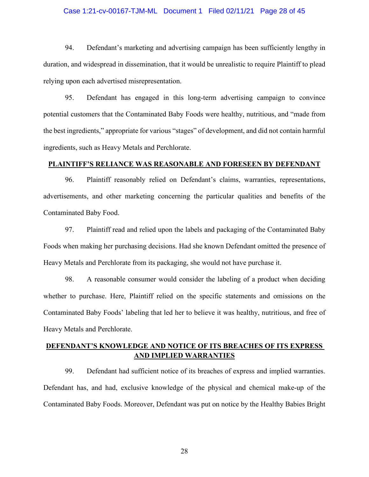#### Case 1:21-cv-00167-TJM-ML Document 1 Filed 02/11/21 Page 28 of 45

94. Defendant's marketing and advertising campaign has been sufficiently lengthy in duration, and widespread in dissemination, that it would be unrealistic to require Plaintiff to plead relying upon each advertised misrepresentation.

95. Defendant has engaged in this long-term advertising campaign to convince potential customers that the Contaminated Baby Foods were healthy, nutritious, and "made from the best ingredients," appropriate for various "stages" of development, and did not contain harmful ingredients, such as Heavy Metals and Perchlorate.

### **PLAINTIFF'S RELIANCE WAS REASONABLE AND FORESEEN BY DEFENDANT**

96. Plaintiff reasonably relied on Defendant's claims, warranties, representations, advertisements, and other marketing concerning the particular qualities and benefits of the Contaminated Baby Food.

97. Plaintiff read and relied upon the labels and packaging of the Contaminated Baby Foods when making her purchasing decisions. Had she known Defendant omitted the presence of Heavy Metals and Perchlorate from its packaging, she would not have purchase it.

98. A reasonable consumer would consider the labeling of a product when deciding whether to purchase. Here, Plaintiff relied on the specific statements and omissions on the Contaminated Baby Foods' labeling that led her to believe it was healthy, nutritious, and free of Heavy Metals and Perchlorate.

# **DEFENDANT'S KNOWLEDGE AND NOTICE OF ITS BREACHES OF ITS EXPRESS AND IMPLIED WARRANTIES**

99. Defendant had sufficient notice of its breaches of express and implied warranties. Defendant has, and had, exclusive knowledge of the physical and chemical make-up of the Contaminated Baby Foods. Moreover, Defendant was put on notice by the Healthy Babies Bright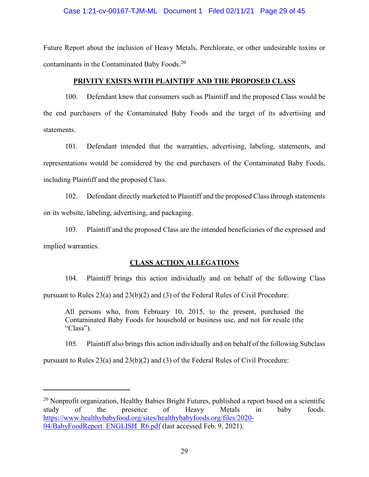#### Case 1:21-cv-00167-TJM-ML Document 1 Filed 02/11/21 Page 29 of 45

Future Report about the inclusion of Heavy Metals, Perchlorate, or other undesirable toxins or contaminants in the Contaminated Baby Foods.<sup>20</sup>

## **PRIVITY EXISTS WITH PLAINTIFF AND THE PROPOSED CLASS**

100. Defendant knew that consumers such as Plaintiff and the proposed Class would be the end purchasers of the Contaminated Baby Foods and the target of its advertising and statements.

101. Defendant intended that the warranties, advertising, labeling, statements, and representations would be considered by the end purchasers of the Contaminated Baby Foods, including Plaintiff and the proposed Class.

102. Defendant directly marketed to Plaintiff and the proposed Class through statements on its website, labeling, advertising, and packaging.

103. Plaintiff and the proposed Class are the intended beneficiaries of the expressed and implied warranties.

### **CLASS ACTION ALLEGATIONS**

104. Plaintiff brings this action individually and on behalf of the following Class pursuant to Rules 23(a) and 23(b)(2) and (3) of the Federal Rules of Civil Procedure:

All persons who, from February 10, 2015, to the present, purchased the Contaminated Baby Foods for household or business use, and not for resale (the "Class").

105. Plaintiff also brings this action individually and on behalf of the following Subclass

pursuant to Rules 23(a) and 23(b)(2) and (3) of the Federal Rules of Civil Procedure:

 $20$  Nonprofit organization, Healthy Babies Bright Futures, published a report based on a scientific study of the presence of Heavy Metals in baby foods. https://www.healthybabyfood.org/sites/healthybabyfoods.org/files/2020- 04/BabyFoodReport ENGLISH R6.pdf (last accessed Feb. 9, 2021).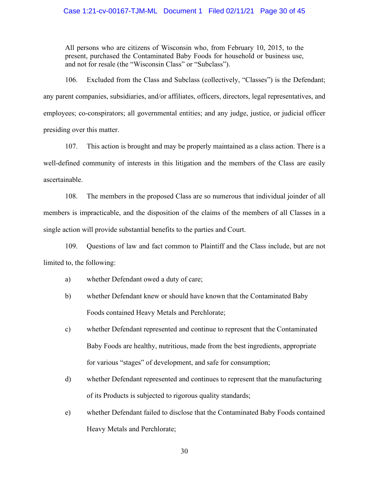#### Case 1:21-cv-00167-TJM-ML Document 1 Filed 02/11/21 Page 30 of 45

All persons who are citizens of Wisconsin who, from February 10, 2015, to the present, purchased the Contaminated Baby Foods for household or business use, and not for resale (the "Wisconsin Class" or "Subclass").

106. Excluded from the Class and Subclass (collectively, "Classes") is the Defendant; any parent companies, subsidiaries, and/or affiliates, officers, directors, legal representatives, and employees; co-conspirators; all governmental entities; and any judge, justice, or judicial officer presiding over this matter.

107. This action is brought and may be properly maintained as a class action. There is a well-defined community of interests in this litigation and the members of the Class are easily ascertainable.

108. The members in the proposed Class are so numerous that individual joinder of all members is impracticable, and the disposition of the claims of the members of all Classes in a single action will provide substantial benefits to the parties and Court.

109. Questions of law and fact common to Plaintiff and the Class include, but are not limited to, the following:

- a) whether Defendant owed a duty of care;
- b) whether Defendant knew or should have known that the Contaminated Baby Foods contained Heavy Metals and Perchlorate;
- c) whether Defendant represented and continue to represent that the Contaminated Baby Foods are healthy, nutritious, made from the best ingredients, appropriate for various "stages" of development, and safe for consumption;
- d) whether Defendant represented and continues to represent that the manufacturing of its Products is subjected to rigorous quality standards;
- e) whether Defendant failed to disclose that the Contaminated Baby Foods contained Heavy Metals and Perchlorate;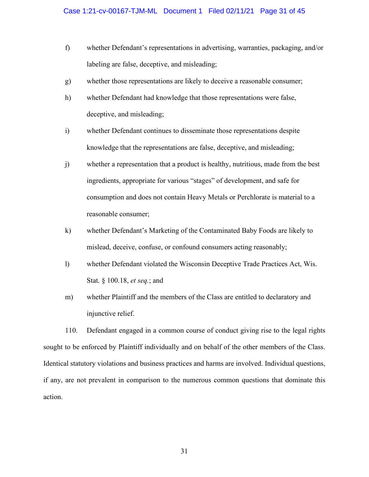#### Case 1:21-cv-00167-TJM-ML Document 1 Filed 02/11/21 Page 31 of 45

- f) whether Defendant's representations in advertising, warranties, packaging, and/or labeling are false, deceptive, and misleading;
- g) whether those representations are likely to deceive a reasonable consumer;
- h) whether Defendant had knowledge that those representations were false, deceptive, and misleading;
- i) whether Defendant continues to disseminate those representations despite knowledge that the representations are false, deceptive, and misleading;
- j) whether a representation that a product is healthy, nutritious, made from the best ingredients, appropriate for various "stages" of development, and safe for consumption and does not contain Heavy Metals or Perchlorate is material to a reasonable consumer;
- k) whether Defendant's Marketing of the Contaminated Baby Foods are likely to mislead, deceive, confuse, or confound consumers acting reasonably;
- l) whether Defendant violated the Wisconsin Deceptive Trade Practices Act, Wis. Stat. § 100.18, *et seq.*; and
- m) whether Plaintiff and the members of the Class are entitled to declaratory and injunctive relief.

110. Defendant engaged in a common course of conduct giving rise to the legal rights sought to be enforced by Plaintiff individually and on behalf of the other members of the Class. Identical statutory violations and business practices and harms are involved. Individual questions, if any, are not prevalent in comparison to the numerous common questions that dominate this action.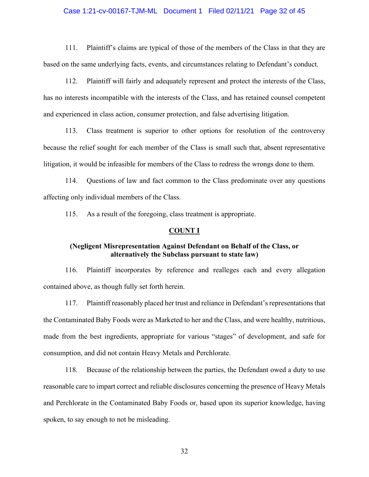#### Case 1:21-cv-00167-TJM-ML Document 1 Filed 02/11/21 Page 32 of 45

111. Plaintiff's claims are typical of those of the members of the Class in that they are based on the same underlying facts, events, and circumstances relating to Defendant's conduct.

112. Plaintiff will fairly and adequately represent and protect the interests of the Class, has no interests incompatible with the interests of the Class, and has retained counsel competent and experienced in class action, consumer protection, and false advertising litigation.

113. Class treatment is superior to other options for resolution of the controversy because the relief sought for each member of the Class is small such that, absent representative litigation, it would be infeasible for members of the Class to redress the wrongs done to them.

114. Questions of law and fact common to the Class predominate over any questions affecting only individual members of the Class.

115. As a result of the foregoing, class treatment is appropriate.

#### **COUNT I**

## **(Negligent Misrepresentation Against Defendant on Behalf of the Class, or alternatively the Subclass pursuant to state law)**

116. Plaintiff incorporates by reference and realleges each and every allegation contained above, as though fully set forth herein.

117. Plaintiff reasonably placed her trust and reliance in Defendant's representations that the Contaminated Baby Foods were as Marketed to her and the Class, and were healthy, nutritious, made from the best ingredients, appropriate for various "stages" of development, and safe for consumption, and did not contain Heavy Metals and Perchlorate.

118. Because of the relationship between the parties, the Defendant owed a duty to use reasonable care to impart correct and reliable disclosures concerning the presence of Heavy Metals and Perchlorate in the Contaminated Baby Foods or, based upon its superior knowledge, having spoken, to say enough to not be misleading.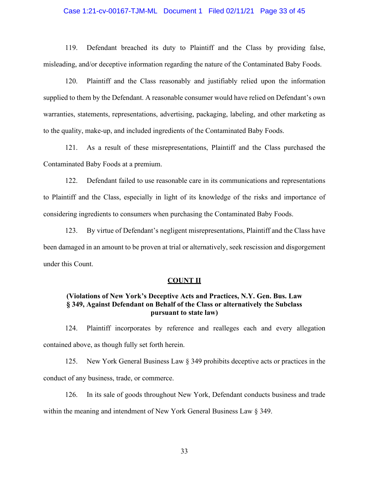#### Case 1:21-cv-00167-TJM-ML Document 1 Filed 02/11/21 Page 33 of 45

119. Defendant breached its duty to Plaintiff and the Class by providing false, misleading, and/or deceptive information regarding the nature of the Contaminated Baby Foods.

120. Plaintiff and the Class reasonably and justifiably relied upon the information supplied to them by the Defendant. A reasonable consumer would have relied on Defendant's own warranties, statements, representations, advertising, packaging, labeling, and other marketing as to the quality, make-up, and included ingredients of the Contaminated Baby Foods.

121. As a result of these misrepresentations, Plaintiff and the Class purchased the Contaminated Baby Foods at a premium.

122. Defendant failed to use reasonable care in its communications and representations to Plaintiff and the Class, especially in light of its knowledge of the risks and importance of considering ingredients to consumers when purchasing the Contaminated Baby Foods.

123. By virtue of Defendant's negligent misrepresentations, Plaintiff and the Class have been damaged in an amount to be proven at trial or alternatively, seek rescission and disgorgement under this Count.

#### **COUNT II**

## **(Violations of New York's Deceptive Acts and Practices, N.Y. Gen. Bus. Law § 349, Against Defendant on Behalf of the Class or alternatively the Subclass pursuant to state law)**

124. Plaintiff incorporates by reference and realleges each and every allegation contained above, as though fully set forth herein.

125. New York General Business Law § 349 prohibits deceptive acts or practices in the conduct of any business, trade, or commerce.

126. In its sale of goods throughout New York, Defendant conducts business and trade within the meaning and intendment of New York General Business Law § 349.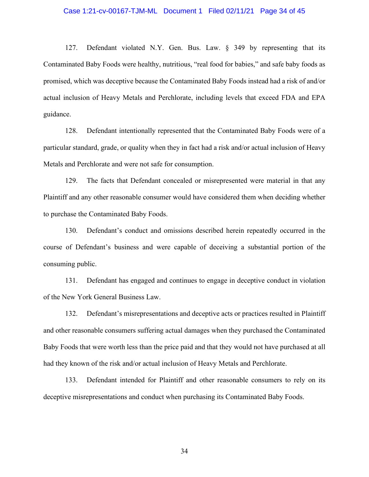#### Case 1:21-cv-00167-TJM-ML Document 1 Filed 02/11/21 Page 34 of 45

127. Defendant violated N.Y. Gen. Bus. Law. § 349 by representing that its Contaminated Baby Foods were healthy, nutritious, "real food for babies," and safe baby foods as promised, which was deceptive because the Contaminated Baby Foods instead had a risk of and/or actual inclusion of Heavy Metals and Perchlorate, including levels that exceed FDA and EPA guidance.

128. Defendant intentionally represented that the Contaminated Baby Foods were of a particular standard, grade, or quality when they in fact had a risk and/or actual inclusion of Heavy Metals and Perchlorate and were not safe for consumption.

129. The facts that Defendant concealed or misrepresented were material in that any Plaintiff and any other reasonable consumer would have considered them when deciding whether to purchase the Contaminated Baby Foods.

130. Defendant's conduct and omissions described herein repeatedly occurred in the course of Defendant's business and were capable of deceiving a substantial portion of the consuming public.

131. Defendant has engaged and continues to engage in deceptive conduct in violation of the New York General Business Law.

132. Defendant's misrepresentations and deceptive acts or practices resulted in Plaintiff and other reasonable consumers suffering actual damages when they purchased the Contaminated Baby Foods that were worth less than the price paid and that they would not have purchased at all had they known of the risk and/or actual inclusion of Heavy Metals and Perchlorate.

133. Defendant intended for Plaintiff and other reasonable consumers to rely on its deceptive misrepresentations and conduct when purchasing its Contaminated Baby Foods.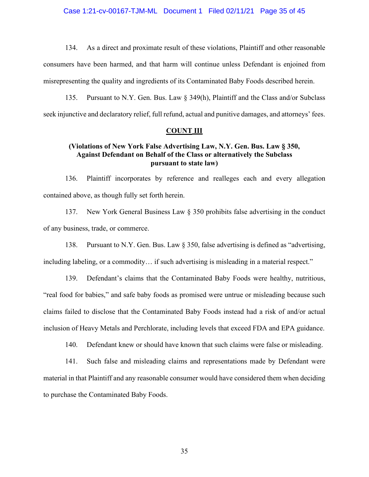#### Case 1:21-cv-00167-TJM-ML Document 1 Filed 02/11/21 Page 35 of 45

134. As a direct and proximate result of these violations, Plaintiff and other reasonable consumers have been harmed, and that harm will continue unless Defendant is enjoined from misrepresenting the quality and ingredients of its Contaminated Baby Foods described herein.

135. Pursuant to N.Y. Gen. Bus. Law § 349(h), Plaintiff and the Class and/or Subclass seek injunctive and declaratory relief, full refund, actual and punitive damages, and attorneys' fees.

### **COUNT III**

### **(Violations of New York False Advertising Law, N.Y. Gen. Bus. Law § 350, Against Defendant on Behalf of the Class or alternatively the Subclass pursuant to state law)**

136. Plaintiff incorporates by reference and realleges each and every allegation contained above, as though fully set forth herein.

137. New York General Business Law § 350 prohibits false advertising in the conduct of any business, trade, or commerce.

138. Pursuant to N.Y. Gen. Bus. Law § 350, false advertising is defined as "advertising, including labeling, or a commodity… if such advertising is misleading in a material respect."

139. Defendant's claims that the Contaminated Baby Foods were healthy, nutritious, "real food for babies," and safe baby foods as promised were untrue or misleading because such claims failed to disclose that the Contaminated Baby Foods instead had a risk of and/or actual inclusion of Heavy Metals and Perchlorate, including levels that exceed FDA and EPA guidance.

140. Defendant knew or should have known that such claims were false or misleading.

141. Such false and misleading claims and representations made by Defendant were material in that Plaintiff and any reasonable consumer would have considered them when deciding to purchase the Contaminated Baby Foods.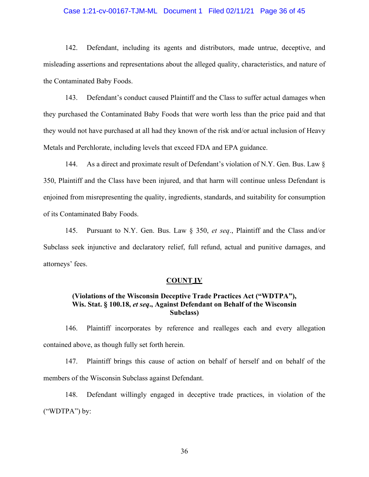#### Case 1:21-cv-00167-TJM-ML Document 1 Filed 02/11/21 Page 36 of 45

142. Defendant, including its agents and distributors, made untrue, deceptive, and misleading assertions and representations about the alleged quality, characteristics, and nature of the Contaminated Baby Foods.

143. Defendant's conduct caused Plaintiff and the Class to suffer actual damages when they purchased the Contaminated Baby Foods that were worth less than the price paid and that they would not have purchased at all had they known of the risk and/or actual inclusion of Heavy Metals and Perchlorate, including levels that exceed FDA and EPA guidance.

144. As a direct and proximate result of Defendant's violation of N.Y. Gen. Bus. Law § 350, Plaintiff and the Class have been injured, and that harm will continue unless Defendant is enjoined from misrepresenting the quality, ingredients, standards, and suitability for consumption of its Contaminated Baby Foods.

145. Pursuant to N.Y. Gen. Bus. Law § 350, *et seq*., Plaintiff and the Class and/or Subclass seek injunctive and declaratory relief, full refund, actual and punitive damages, and attorneys' fees.

#### **COUNT IV**

## **(Violations of the Wisconsin Deceptive Trade Practices Act ("WDTPA"), Wis. Stat. § 100.18,** *et seq***., Against Defendant on Behalf of the Wisconsin Subclass)**

146. Plaintiff incorporates by reference and realleges each and every allegation contained above, as though fully set forth herein.

147. Plaintiff brings this cause of action on behalf of herself and on behalf of the members of the Wisconsin Subclass against Defendant.

148. Defendant willingly engaged in deceptive trade practices, in violation of the ("WDTPA") by: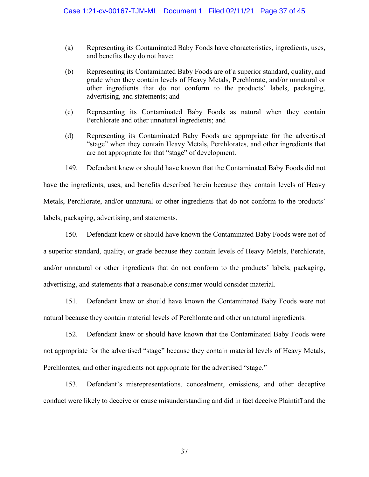- (a) Representing its Contaminated Baby Foods have characteristics, ingredients, uses, and benefits they do not have;
- (b) Representing its Contaminated Baby Foods are of a superior standard, quality, and grade when they contain levels of Heavy Metals, Perchlorate, and/or unnatural or other ingredients that do not conform to the products' labels, packaging, advertising, and statements; and
- (c) Representing its Contaminated Baby Foods as natural when they contain Perchlorate and other unnatural ingredients; and
- (d) Representing its Contaminated Baby Foods are appropriate for the advertised "stage" when they contain Heavy Metals, Perchlorates, and other ingredients that are not appropriate for that "stage" of development.
- 149. Defendant knew or should have known that the Contaminated Baby Foods did not

have the ingredients, uses, and benefits described herein because they contain levels of Heavy Metals, Perchlorate, and/or unnatural or other ingredients that do not conform to the products' labels, packaging, advertising, and statements.

150. Defendant knew or should have known the Contaminated Baby Foods were not of a superior standard, quality, or grade because they contain levels of Heavy Metals, Perchlorate, and/or unnatural or other ingredients that do not conform to the products' labels, packaging, advertising, and statements that a reasonable consumer would consider material.

151. Defendant knew or should have known the Contaminated Baby Foods were not natural because they contain material levels of Perchlorate and other unnatural ingredients.

152. Defendant knew or should have known that the Contaminated Baby Foods were not appropriate for the advertised "stage" because they contain material levels of Heavy Metals, Perchlorates, and other ingredients not appropriate for the advertised "stage."

153. Defendant's misrepresentations, concealment, omissions, and other deceptive conduct were likely to deceive or cause misunderstanding and did in fact deceive Plaintiff and the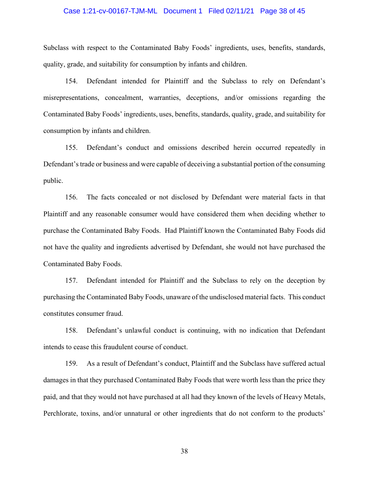#### Case 1:21-cv-00167-TJM-ML Document 1 Filed 02/11/21 Page 38 of 45

Subclass with respect to the Contaminated Baby Foods' ingredients, uses, benefits, standards, quality, grade, and suitability for consumption by infants and children.

154. Defendant intended for Plaintiff and the Subclass to rely on Defendant's misrepresentations, concealment, warranties, deceptions, and/or omissions regarding the Contaminated Baby Foods' ingredients, uses, benefits, standards, quality, grade, and suitability for consumption by infants and children.

155. Defendant's conduct and omissions described herein occurred repeatedly in Defendant's trade or business and were capable of deceiving a substantial portion of the consuming public.

156. The facts concealed or not disclosed by Defendant were material facts in that Plaintiff and any reasonable consumer would have considered them when deciding whether to purchase the Contaminated Baby Foods. Had Plaintiff known the Contaminated Baby Foods did not have the quality and ingredients advertised by Defendant, she would not have purchased the Contaminated Baby Foods.

157. Defendant intended for Plaintiff and the Subclass to rely on the deception by purchasing the Contaminated Baby Foods, unaware of the undisclosed material facts. This conduct constitutes consumer fraud.

158. Defendant's unlawful conduct is continuing, with no indication that Defendant intends to cease this fraudulent course of conduct.

159. As a result of Defendant's conduct, Plaintiff and the Subclass have suffered actual damages in that they purchased Contaminated Baby Foods that were worth less than the price they paid, and that they would not have purchased at all had they known of the levels of Heavy Metals, Perchlorate, toxins, and/or unnatural or other ingredients that do not conform to the products'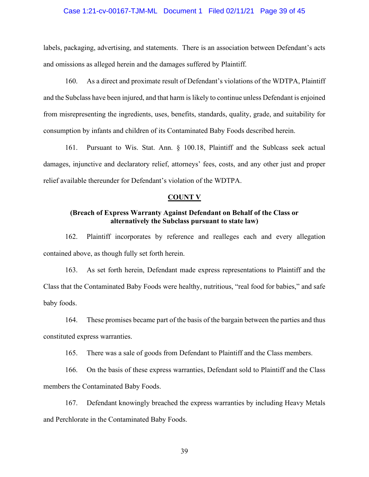#### Case 1:21-cv-00167-TJM-ML Document 1 Filed 02/11/21 Page 39 of 45

labels, packaging, advertising, and statements. There is an association between Defendant's acts and omissions as alleged herein and the damages suffered by Plaintiff.

160. As a direct and proximate result of Defendant's violations of the WDTPA, Plaintiff and the Subclass have been injured, and that harm is likely to continue unless Defendant is enjoined from misrepresenting the ingredients, uses, benefits, standards, quality, grade, and suitability for consumption by infants and children of its Contaminated Baby Foods described herein.

161. Pursuant to Wis. Stat. Ann. § 100.18, Plaintiff and the Sublcass seek actual damages, injunctive and declaratory relief, attorneys' fees, costs, and any other just and proper relief available thereunder for Defendant's violation of the WDTPA.

#### **COUNT V**

## **(Breach of Express Warranty Against Defendant on Behalf of the Class or alternatively the Subclass pursuant to state law)**

162. Plaintiff incorporates by reference and realleges each and every allegation contained above, as though fully set forth herein.

163. As set forth herein, Defendant made express representations to Plaintiff and the Class that the Contaminated Baby Foods were healthy, nutritious, "real food for babies," and safe baby foods.

164. These promises became part of the basis of the bargain between the parties and thus constituted express warranties.

165. There was a sale of goods from Defendant to Plaintiff and the Class members.

166. On the basis of these express warranties, Defendant sold to Plaintiff and the Class members the Contaminated Baby Foods.

167. Defendant knowingly breached the express warranties by including Heavy Metals and Perchlorate in the Contaminated Baby Foods.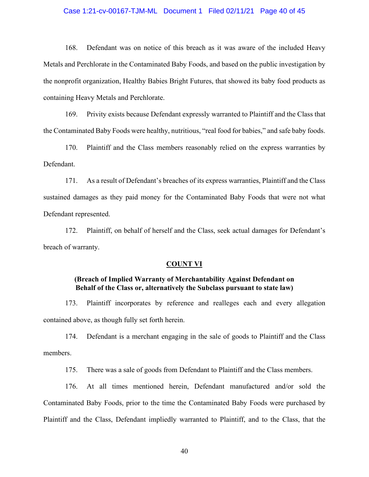#### Case 1:21-cv-00167-TJM-ML Document 1 Filed 02/11/21 Page 40 of 45

168. Defendant was on notice of this breach as it was aware of the included Heavy Metals and Perchlorate in the Contaminated Baby Foods, and based on the public investigation by the nonprofit organization, Healthy Babies Bright Futures, that showed its baby food products as containing Heavy Metals and Perchlorate.

169. Privity exists because Defendant expressly warranted to Plaintiff and the Class that the Contaminated Baby Foods were healthy, nutritious, "real food for babies," and safe baby foods.

170. Plaintiff and the Class members reasonably relied on the express warranties by Defendant.

171. As a result of Defendant's breaches of its express warranties, Plaintiff and the Class sustained damages as they paid money for the Contaminated Baby Foods that were not what Defendant represented.

172. Plaintiff, on behalf of herself and the Class, seek actual damages for Defendant's breach of warranty.

#### **COUNT VI**

## **(Breach of Implied Warranty of Merchantability Against Defendant on Behalf of the Class or, alternatively the Subclass pursuant to state law)**

173. Plaintiff incorporates by reference and realleges each and every allegation contained above, as though fully set forth herein.

174. Defendant is a merchant engaging in the sale of goods to Plaintiff and the Class members.

175. There was a sale of goods from Defendant to Plaintiff and the Class members.

176. At all times mentioned herein, Defendant manufactured and/or sold the Contaminated Baby Foods, prior to the time the Contaminated Baby Foods were purchased by Plaintiff and the Class, Defendant impliedly warranted to Plaintiff, and to the Class, that the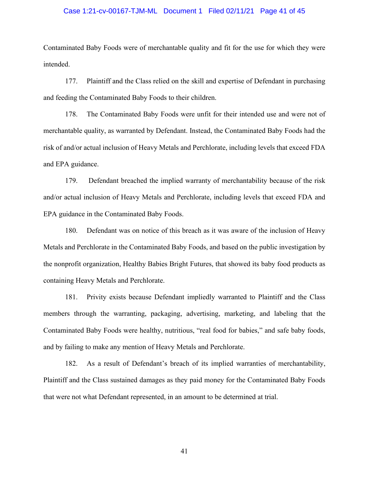#### Case 1:21-cv-00167-TJM-ML Document 1 Filed 02/11/21 Page 41 of 45

Contaminated Baby Foods were of merchantable quality and fit for the use for which they were intended.

177. Plaintiff and the Class relied on the skill and expertise of Defendant in purchasing and feeding the Contaminated Baby Foods to their children.

178. The Contaminated Baby Foods were unfit for their intended use and were not of merchantable quality, as warranted by Defendant. Instead, the Contaminated Baby Foods had the risk of and/or actual inclusion of Heavy Metals and Perchlorate, including levels that exceed FDA and EPA guidance.

179. Defendant breached the implied warranty of merchantability because of the risk and/or actual inclusion of Heavy Metals and Perchlorate, including levels that exceed FDA and EPA guidance in the Contaminated Baby Foods.

180. Defendant was on notice of this breach as it was aware of the inclusion of Heavy Metals and Perchlorate in the Contaminated Baby Foods, and based on the public investigation by the nonprofit organization, Healthy Babies Bright Futures, that showed its baby food products as containing Heavy Metals and Perchlorate.

181. Privity exists because Defendant impliedly warranted to Plaintiff and the Class members through the warranting, packaging, advertising, marketing, and labeling that the Contaminated Baby Foods were healthy, nutritious, "real food for babies," and safe baby foods, and by failing to make any mention of Heavy Metals and Perchlorate.

182. As a result of Defendant's breach of its implied warranties of merchantability, Plaintiff and the Class sustained damages as they paid money for the Contaminated Baby Foods that were not what Defendant represented, in an amount to be determined at trial.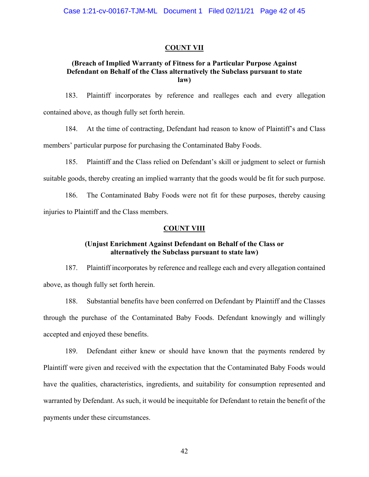### **COUNT VII**

## **(Breach of Implied Warranty of Fitness for a Particular Purpose Against Defendant on Behalf of the Class alternatively the Subclass pursuant to state law)**

183. Plaintiff incorporates by reference and realleges each and every allegation contained above, as though fully set forth herein.

184. At the time of contracting, Defendant had reason to know of Plaintiff's and Class members' particular purpose for purchasing the Contaminated Baby Foods.

185. Plaintiff and the Class relied on Defendant's skill or judgment to select or furnish suitable goods, thereby creating an implied warranty that the goods would be fit for such purpose.

186. The Contaminated Baby Foods were not fit for these purposes, thereby causing injuries to Plaintiff and the Class members.

### **COUNT VIII**

## **(Unjust Enrichment Against Defendant on Behalf of the Class or alternatively the Subclass pursuant to state law)**

187. Plaintiff incorporates by reference and reallege each and every allegation contained above, as though fully set forth herein.

188. Substantial benefits have been conferred on Defendant by Plaintiff and the Classes through the purchase of the Contaminated Baby Foods. Defendant knowingly and willingly accepted and enjoyed these benefits.

189. Defendant either knew or should have known that the payments rendered by Plaintiff were given and received with the expectation that the Contaminated Baby Foods would have the qualities, characteristics, ingredients, and suitability for consumption represented and warranted by Defendant. As such, it would be inequitable for Defendant to retain the benefit of the payments under these circumstances.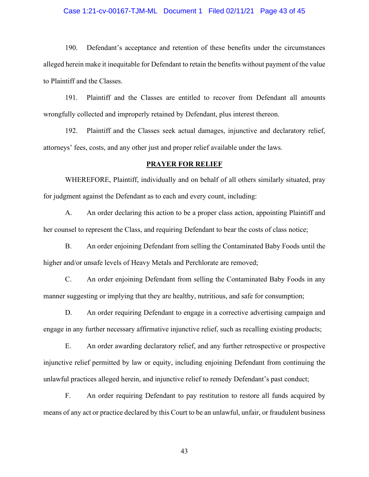#### Case 1:21-cv-00167-TJM-ML Document 1 Filed 02/11/21 Page 43 of 45

190. Defendant's acceptance and retention of these benefits under the circumstances alleged herein make it inequitable for Defendant to retain the benefits without payment of the value to Plaintiff and the Classes.

191. Plaintiff and the Classes are entitled to recover from Defendant all amounts wrongfully collected and improperly retained by Defendant, plus interest thereon.

192. Plaintiff and the Classes seek actual damages, injunctive and declaratory relief, attorneys' fees, costs, and any other just and proper relief available under the laws.

### **PRAYER FOR RELIEF**

WHEREFORE, Plaintiff, individually and on behalf of all others similarly situated, pray for judgment against the Defendant as to each and every count, including:

A. An order declaring this action to be a proper class action, appointing Plaintiff and her counsel to represent the Class, and requiring Defendant to bear the costs of class notice;

B. An order enjoining Defendant from selling the Contaminated Baby Foods until the higher and/or unsafe levels of Heavy Metals and Perchlorate are removed;

C. An order enjoining Defendant from selling the Contaminated Baby Foods in any manner suggesting or implying that they are healthy, nutritious, and safe for consumption;

D. An order requiring Defendant to engage in a corrective advertising campaign and engage in any further necessary affirmative injunctive relief, such as recalling existing products;

E. An order awarding declaratory relief, and any further retrospective or prospective injunctive relief permitted by law or equity, including enjoining Defendant from continuing the unlawful practices alleged herein, and injunctive relief to remedy Defendant's past conduct;

F. An order requiring Defendant to pay restitution to restore all funds acquired by means of any act or practice declared by this Court to be an unlawful, unfair, or fraudulent business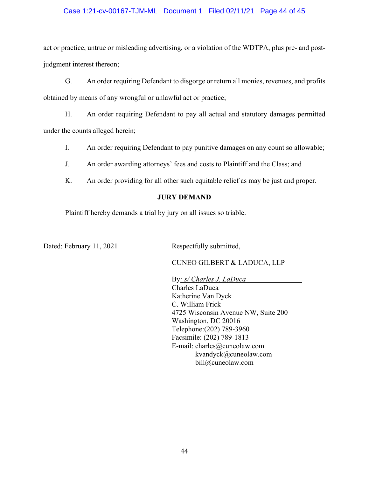### Case 1:21-cv-00167-TJM-ML Document 1 Filed 02/11/21 Page 44 of 45

act or practice, untrue or misleading advertising, or a violation of the WDTPA, plus pre- and postjudgment interest thereon;

G. An order requiring Defendant to disgorge or return all monies, revenues, and profits obtained by means of any wrongful or unlawful act or practice;

H. An order requiring Defendant to pay all actual and statutory damages permitted under the counts alleged herein;

I. An order requiring Defendant to pay punitive damages on any count so allowable;

J. An order awarding attorneys' fees and costs to Plaintiff and the Class; and

K. An order providing for all other such equitable relief as may be just and proper.

# **JURY DEMAND**

Plaintiff hereby demands a trial by jury on all issues so triable.

Dated: February 11, 2021 Respectfully submitted,

CUNEO GILBERT & LADUCA, LLP

By*: s/ Charles J. LaDuca* Charles LaDuca Katherine Van Dyck C. William Frick 4725 Wisconsin Avenue NW, Suite 200 Washington, DC 20016 Telephone:(202) 789-3960 Facsimile: (202) 789-1813 E-mail: charles@cuneolaw.com kvandyck@cuneolaw.com bill@cuneolaw.com